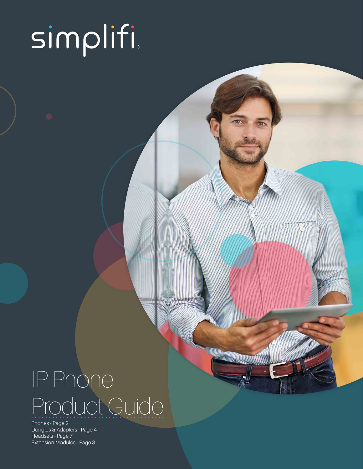# simplifi

# IP Phone Product Guide

Phones - Page 2 Dongles & Adapters - Page 4 Headsets - Page 7 Extension Modules - Page 8

*COMMUNITY*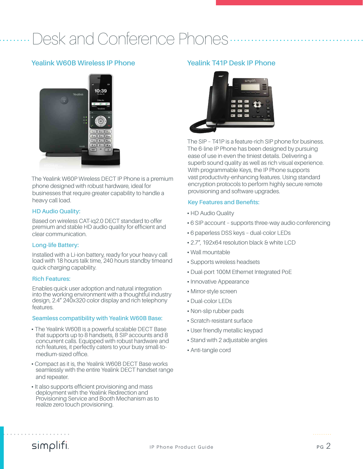### Desk and Conference Phones

#### **Yealink W60B Wireless IP Phone**



The Yealink W60P Wireless DECT IP Phone is a premium phone designed with robust hardware, ideal for businesses that require greater capability to handle a heavy call load.

#### **HD Audio Quality:**

Based on wireless CAT-iq2.0 DECT standard to offer premium and stable HD audio quality for efficient and clear communication.

#### **Long-life Battery:**

Installed with a Li-ion battery, ready for your heavy call load with 18 hours talk time, 240 hours standby timeand quick charging capability.

#### **Rich Features:**

Enables quick user adoption and natural integration into the working environment with a thoughtful industry design, 2.4" 240x320 color display and rich telephony features.

#### **Seamless compatibility with Yealink W60B Base:**

- **•** The Yealink W60B is a powerful scalable DECT Base that supports up to 8 handsets, 8 SIP accounts and 8 concurrent calls. Equipped with robust hardware and rich features, it perfectly caters to your busy small-tomedium-sized office.
- **•** Compact as it is, the Yealink W60B DECT Base works seamlessly with the entire Yealink DECT handset range and repeater.
- **•** It also supports efficient provisioning and mass deployment with the Yealink Redirection and Provisioning Service and Booth Mechanism as to realize zero touch provisioning.

#### **Yealink T41P Desk IP Phone**



The SIP – T41P is a feature-rich SIP phone for business. The 6-line IP Phone has been designed by pursuing ease of use in even the tiniest details. Delivering a superb sound quality as well as rich visual experience. With programmable Keys, the IP Phone supports vast productivity-enhancing features. Using standard encryption protocols to perform highly secure remote provisioning and software upgrades.

#### **Key Features and Benefits:**

- **•** HD Audio Quality
- **•** 6 SIP account supports three-way audio conferencing
- **•** 6 paperless DSS keys dual-color LEDs
- **•** 2.7", 192x64 resolution black & white LCD
- **•** Wall mountable
- **•** Supports wireless headsets
- **•** Dual-port 100M Ethernet Integrated PoE
- **•** Innovative Appearance
- **•** Mirror-style screen
- **•** Dual-color LEDs
- **•** Non-slip rubber pads
- **•** Scratch-resistant surface
- **•** User friendly metallic keypad
- **•** Stand with 2 adjustable angles
- **•** Anti-tangle cord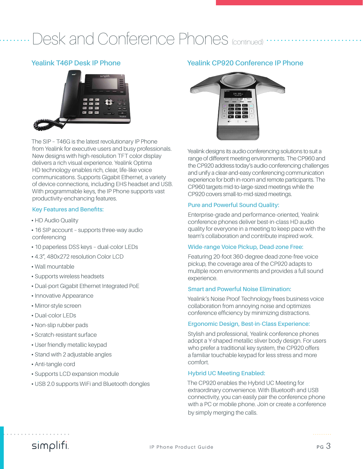### Desk and Conference Phones (continued)

#### **Yealink T46P Desk IP Phone**



The SIP – T46G is the latest revolutionary IP Phone from Yealink for executive users and busy professionals. New designs with high-resolution TFT color display delivers a rich visual experience. Yealink Optima HD technology enables rich, clear, life-like voice communications. Supports Gigabit Ethernet, a variety of device connections, including EHS headset and USB. With programmable keys, the IP Phone supports vast productivity-enchancing features.

#### **Key Features and Benefits:**

- **•** HD Audio Quality
- **•** 16 SIP account supports three-way audio conferencing
- **•** 10 paperless DSS keys dual-color LEDs
- **•** 4.3", 480x272 resolution Color LCD
- **•** Wall mountable
- **•** Supports wireless headsets
- **•** Dual-port Gigabit Ethernet Integrated PoE
- **•** Innovative Appearance
- **•** Mirror-style screen
- **•** Dual-color LEDs
- **•** Non-slip rubber pads
- **•** Scratch-resistant surface
- **•** User friendly metallic keypad
- **•** Stand with 2 adjustable angles
- **•** Anti-tangle cord
- **•** Supports LCD expansion module
- **•** USB 2.0 supports WiFi and Bluetooth dongles

#### **Yealink CP920 Conference IP Phone**



Yealink designs its audio conferencing solutions to suit a range of different meeting environments. The CP960 and the CP920 address today's audio conferencing challenges and unify a clear-and-easy conferencing communication experience for both in-room and remote participants. The CP960 targets mid-to-large-sized meetings while the CP920 covers small-to-mid-sized meetings.

#### **Pure and Powerful Sound Quality:**

Enterprise-grade and performance-oriented, Yealink conference phones deliver best-in-class HD audio quality for everyone in a meeting to keep pace with the team's collaboration and contribute inspired work.

#### **Wide-range Voice Pickup, Dead-zone Free:**

Featuring 20-foot 360-degree dead-zone-free voice pickup, the coverage area of the CP920 adapts to multiple room environments and provides a full sound experience.

#### **Smart and Powerful Noise Elimination:**

Yealink's Noise Proof Technology frees business voice collaboration from annoying noise and optimizes conference efficiency by minimizing distractions.

#### **Ergonomic Design, Best-in-Class Experience:**

Stylish and professional, Yealink conference phones adopt a Y-shaped metallic sliver body design. For users who prefer a traditional key system, the CP920 offers a familiar touchable keypad for less stress and more comfort.

#### **Hybrid UC Meeting Enabled:**

The CP920 enables the Hybrid UC Meeting for extraordinary convenience. With Bluetooth and USB connectivity, you can easily pair the conference phone with a PC or mobile phone. Join or create a conference by simply merging the calls.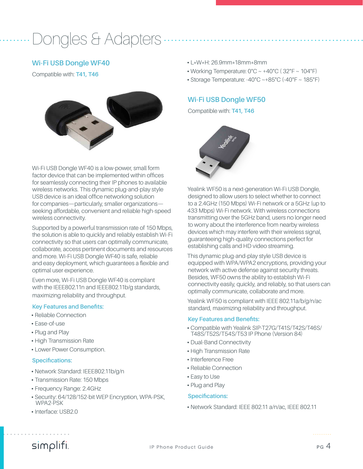# Dongles & Adapters

#### **Wi-Fi USB Dongle WF40**

Compatible with: **T41, T46**



Wi-Fi USB Dongle WF40 is a low-power, small form factor device that can be implemented within offices for seamlessly connecting their IP phones to available wireless networks. This dynamic plug-and-play style USB device is an ideal office networking solution for companies—particularly, smaller organizations seeking affordable, convenient and reliable high-speed wireless connectivity.

Supported by a powerful transmission rate of 150 Mbps, the solution is able to quickly and reliably establish Wi-Fi connectivity so that users can optimally communicate, collaborate, access pertinent documents and resources and more. Wi-Fi USB Dongle WF40 is safe, reliable and easy deployment, which guarantees a flexible and optimal user experience.

Even more, Wi-Fi USB Dongle WF40 is compliant with the IEEE802.11n and IEEE802.11b/g standards, maximizing reliability and throughput.

#### **Key Features and Benefits:**

- **•** Reliable Connection
- **•** Ease-of-use
- **•** Plug and Play
- **•** High Transmission Rate
- **•** Lower Power Consumption.

#### **Specifications:**

- **•** Network Standard: IEEE802.11b/g/n
- **•** Transmission Rate: 150 Mbps
- **•** Frequency Range: 2.4GHz
- **•** Security: 64/128/152-bit WEP Encryption, WPA-PSK, WPA2-PSK
- **•** Interface: USB2.0
- **•** L\*W\*H: 26.9mm\*18mm\*8mm
- **•** Working Temperature: 0°C ~ +40°C ( 32°F ~ 104°F)
- **•** Storage Temperature: -40°C ~+85°C (-40°F ~ 185°F)

#### **Wi-Fi USB Dongle WF50**

Compatible with: **T41, T46**



Yealink WF50 is a next-generation Wi-Fi USB Dongle, designed to allow users to select whether to connect to a 2.4GHz (150 Mbps) Wi-Fi network or a 5GHz (up to 433 Mbps) Wi-Fi network. With wireless connections transmitting over the 5GHz band, users no longer need to worry about the interference from nearby wireless devices which may interfere with their wireless signal, guaranteeing high-quality connections perfect for establishing calls and HD video streaming.

This dynamic plug-and-play style USB device is equipped with WPA/WPA2 encryptions, providing your network with active defense against security threats. Besides, WF50 owns the ability to establish Wi-Fi connectivity easily, quickly, and reliably, so that users can optimally communicate, collaborate and more.

Yealink WF50 is compliant with IEEE 802.11a/b/g/n/ac standard, maximizing reliability and throughput.

#### **Key Features and Benefits:**

- **•** Compatible with Yealink SIP-T27G/T41S/T42S/T46S/ T48S/T52S/T54S/T53 IP Phone (Version 84)
- **•** Dual-Band Connectivity
- **•** High Transmission Rate
- **•** Interference Free
- **•** Reliable Connection
- **•** Easy to Use
- **•** Plug and Play

#### **Specifications:**

**•** Network Standard: IEEE 802.11 a/n/ac, IEEE 802.11

### simplifi.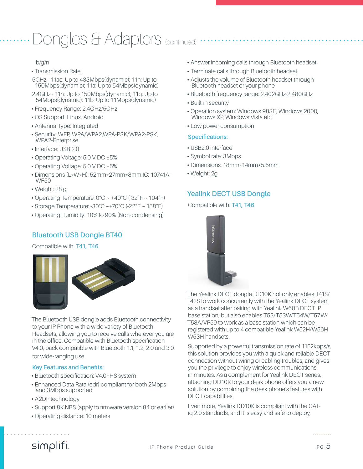# Dongles & Adapters (continued)

#### b/g/n

**•** Transmission Rate:

5GHz - 11ac: Up to 433Mbps(dynamic); 11n: Up to 150Mbps(dynamic); 11a: Up to 54Mbps(dynamic)

2.4GHz - 11n: Up to 150Mbps(dynamic); 11g: Up to 54Mbps(dynamic); 11b: Up to 11Mbps(dynamic)

- **•** Frequency Range: 2.4GHz/5GHz
- **•** OS Support: Linux, Android
- **•** Antenna Type: Integrated
- **•** Security: WEP, WPA/WPA2,WPA-PSK/WPA2-PSK, WPA2-Enterprise
- **•** Interface: USB 2.0
- **•** Operating Voltage: 5.0 V DC ±5%
- **•** Operating Voltage: 5.0 V DC ±5%
- **•** Dimensions (L\*W\*H): 52mm\*27mm\*8mm IC: 10741A-WF50
- **•** Weight: 28 g
- **•** Operating Temperature: 0°C ~ +40°C ( 32°F ~ 104°F)
- **•** Storage Temperature: -30°C ~+70°C (-22°F ~ 158°F)
- **•** Operating Humidity: 10% to 90% (Non-condensing)

#### **Bluetooth USB Dongle BT40**

#### Compatible with: **T41, T46**



The Bluetooth USB dongle adds Bluetooth connectivity to your IP Phone with a wide variety of Bluetooth Headsets, allowing you to receive calls wherever you are in the office. Compatible with Bluetooth specification V4.0, back compatible with Bluetooth 1.1, 1.2, 2.0 and 3.0 for wide-ranging use.

#### **Key Features and Benefits:**

- **•** Bluetooth specification: V4.0+HS system
- **•** Enhanced Data Rata (edr) compliant for both 2Mbps and 3Mbps supported
- **•** A2DP technology
- **•** Support 8K NBS (apply to firmware version 84 or earlier)
- **•** Operating distance: 10 meters
- **•** Answer incoming calls through Bluetooth headset
- **•** Terminate calls through Bluetooth headset
- **•** Adjusts the volume of Bluetooth headset through Bluetooth headset or your phone
- **•** Bluetooth frequency range: 2.402GHz-2.480GHz
- **•** Built-in security
- **•** Operation system: Windows 98SE, Windows 2000, Windows XP, Windows Vista etc.
- **•** Low power consumption

#### **Specifications:**

- **•** USB2.0 interface
- **•** Symbol rate: 3Mbps
- **•** Dimensions: 18mm\*14mm\*5.5mm
- **•** Weight: 2g

#### **Yealink DECT USB Dongle**

#### Compatible with: **T41, T46**



The Yealink DECT dongle DD10K not only enables T41S/ T42S to work concurrently with the Yealink DECT system as a handset after pairing with Yealink W60B DECT IP base station, but also enables T53/T53W/T54W/T57W/ T58A/VP59 to work as a base station which can be registered with up to 4 compatible Yealink W52H/W56H W53H handsets.

Supported by a powerful transmission rate of 1152kbps/s, this solution provides you with a quick and reliable DECT connection without wiring or cabling troubles, and gives you the privilege to enjoy wireless communications in minutes. As a complement for Yealink DECT series, attaching DD10K to your desk phone offers you a new solution by combining the desk phone's features with DECT capabilities.

Even more, Yealink DD10K is compliant with the CATiq 2.0 standards, and it is easy and safe to deploy,

### simplifi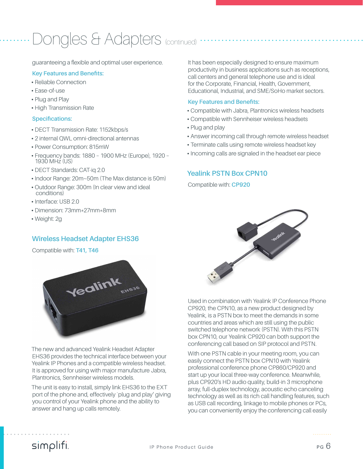# Dongles & Adapters (continued)

guaranteeing a flexible and optimal user experience.

#### **Key Features and Benefits:**

- **•** Reliable Connection
- **•** Ease-of-use
- **•** Plug and Play
- **•** High Transmission Rate

#### **Specifications:**

- **•** DECT Transmission Rate: 1152kbps/s
- **•** 2 internal QWL omni-directional antennas
- **•** Power Consumption: 815mW
- **•** Frequency bands: 1880 1900 MHz (Europe), 1920 1930 MHz (US)
- **•** DECT Standards: CAT-iq 2.0
- **•** Indoor Range: 20m~50m (The Max distance is 50m)
- **•** Outdoor Range: 300m (In clear view and ideal conditions)
- **•** Interface: USB 2.0
- **•** Dimension: 73mm\*27mm\*8mm
- **•** Weight: 2g

#### **Wireless Headset Adapter EHS36**

Compatible with: **T41, T46**



The new and advanced Yealink Headset Adapter EHS36 provides the technical interface between your Yealink IP Phones and a compatible wireless headset. It is approved for using with major manufacture Jabra, Plantronics, Sennheiser wireless models.

The unit is easy to install, simply link EHS36 to the EXT port of the phone and, effectively `plug and play' giving you control of your Yealink phone and the ability to answer and hang up calls remotely.

It has been especially designed to ensure maximum productivity in business applications such as receptions, call centers and general telephone use and is ideal for the Corporate, Financial, Health, Government, Educational, Industrial, and SME/SoHo market sectors.

#### **Key Features and Benefits:**

- **•** Compatible with Jabra, Plantronics wireless headsets
- **•** Compatible with Sennheiser wireless headsets
- **•** Plug and play
- **•** Answer incoming call through remote wireless headset
- **•** Terminate calls using remote wireless headset key
- **•** Incoming calls are signaled in the headset ear piece

#### **Yealink PSTN Box CPN10**

Compatible with: **CP920**



Used in combination with Yealink IP Conference Phone CP920, the CPN10, as a new product designed by Yealink, is a PSTN box to meet the demands in some countries and areas which are still using the public switched telephone network (PSTN). With this PSTN box CPN10, our Yealink CP920 can both support the conferencing call based on SIP protocol and PSTN.

With one PSTN cable in your meeting room, you can easily connect the PSTN box CPN10 with Yealink professional conference phone CP860/CP920 and start up your local three-way conference. Meanwhile, plus CP920's HD audio quality, build-in 3 microphone array, full-duplex technology, acoustic echo canceling technology as well as its rich call handling features, such as USB call recording, linkage to mobile phones or PCs, you can conveniently enjoy the conferencing call easily

### simplifi.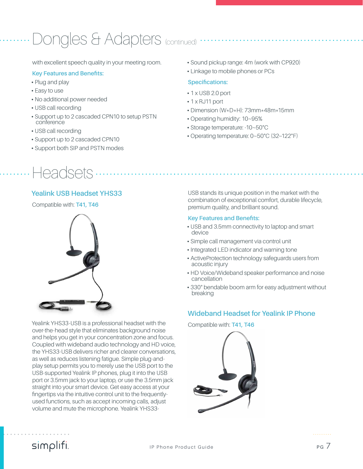# Dongles & Adapters (continued)

with excellent speech quality in your meeting room.

#### **Key Features and Benefits:**

- **•** Plug and play
- **•** Easy to use
- **•** No additional power needed
- **•** USB call recording
- **•** Support up to 2 cascaded CPN10 to setup PSTN conference
- **•** USB call recording
- **•** Support up to 2 cascaded CPN10
- **•** Support both SIP and PSTN modes
- Headsets.

#### **Yealink USB Headset YHS33**

Compatible with: **T41, T46**



Yealink YHS33-USB is a professional headset with the over-the-head style that eliminates background noise and helps you get in your concentration zone and focus. Coupled with wideband audio technology and HD voice, the YHS33-USB delivers richer and clearer conversations, as well as reduces listening fatigue. Simple plug-andplay setup permits you to merely use the USB port to the USB-supported Yealink IP phones, plug it into the USB port or 3.5mm jack to your laptop, or use the 3.5mm jack straight into your smart device. Get easy access at your fingertips via the intuitive control unit to the frequentlyused functions, such as accept incoming calls, adjust volume and mute the microphone. Yealink YHS33-

- **•** Sound pickup range: 4m (work with CP920)
- **•** Linkage to mobile phones or PCs

#### **Specifications:**

- **•** 1 x USB 2.0 port
- **•** 1 x RJ11 port
- **•** Dimension (W\*D\*H): 73mm\*48m\*15mm
- **•** Operating humidity: 10~95%
- **•** Storage temperature: -10~50°C
- **•** Operating temperature: 0~50°C (32~122°F)

USB stands its unique position in the market with the combination of exceptional comfort, durable lifecycle, premium quality, and brilliant sound.

#### **Key Features and Benefits:**

- **•** USB and 3.5mm connectivity to laptop and smart device
- **•** Simple call management via control unit
- **•** Integrated LED indicator and warning tone
- **•** ActiveProtection technology safeguards users from acoustic injury
- **•** HD Voice/Wideband speaker performance and noise cancellation
- **•** 330° bendable boom arm for easy adjustment without breaking

#### **Wideband Headset for Yealink IP Phone**

Compatible with: **T41, T46**



### simplifi.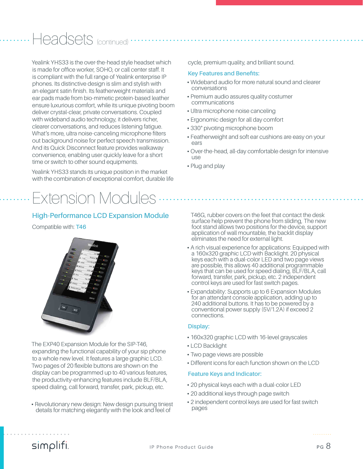### Headsets <sub>(continued)</sub>

Yealink YHS33 is the over-the-head style headset which is made for office worker, SOHO, or call center staff. It is compliant with the full range of Yealink enterprise IP phones. Its distinctive design is slim and stylish with an elegant satin finish. Its featherweight materials and ear pads made from bio-mimetic protein-based leather ensure luxurious comfort, while its unique pivoting boom deliver crystal-clear, private conversations. Coupled with wideband audio technology, it delivers richer, clearer conversations, and reduces listening fatigue. What's more, ultra noise-canceling microphone filters out background noise for perfect speech transmission. And its Quick Disconnect feature provides walkaway convenience, enabling user quickly leave for a short time or switch to other sound equipments.

Yealink YHS33 stands its unique position in the market with the combination of exceptional comfort, durable life

# Extension Modules

#### **High-Performance LCD Expansion Module**

#### Compatible with: **T46**



The EXP40 Expansion Module for the SIP-T46, expanding the functional capability of your sip phone to a whole new level. It features a large graphic LCD. Two pages of 20 flexible buttons are shown on the display can be programmed up to 40 various features, the productivity-enhancing features include BLF/BLA, speed dialing, call forward, transfer, park, pickup, etc.

**•** Revolutionary new design: New design pursuing tiniest details for matching elegantly with the look and feel of

cycle, premium quality, and brilliant sound.

#### **Key Features and Benefits:**

- **•** Wideband audio for more natural sound and clearer conversations
- **•** Premium audio assures quality costumer communications
- **•** Ultra microphone noise canceling
- **•** Ergonomic design for all day comfort
- **•** 330° pivoting microphone boom
- **•** Featherweight and soft ear cushions are easy on your ears
- **•** Over-the-head, all-day comfortable design for intensive use
- **•** Plug and play

T46G, rubber covers on the feet that contact the desk surface help prevent the phone from sliding, The new foot stand allows two positions for the device, support application of wall mountable, the backlit display eliminates the need for external light.

- **•** A rich visual experience for applications: Equipped with a 160x320 graphic LCD with Backlight. 20 physical keys each with a dual-color LED and two page views are possible, this allows 40 additional programmable keys that can be used for speed dialing, BLF/BLA, call forward, transfer, park, pickup, etc. 2 independent control keys are used for fast switch pages.
- **•** Expandability: Supports up to 6 Expansion Modules for an attendant console application, adding up to 240 additional buttons. It has to be powered by a conventional power supply (5V/1.2A) if exceed 2 connections.

#### **Display:**

- **•** 160x320 graphic LCD with 16-level grayscales
- **•** LCD Backlight
- **•** Two page views are possible
- **•** Different icons for each function shown on the LCD

#### **Feature Keys and Indicator:**

- **•** 20 physical keys each with a dual-color LED
- **•** 20 additional keys through page switch
- **•** 2 independent control keys are used for fast switch pages

### simplifi.